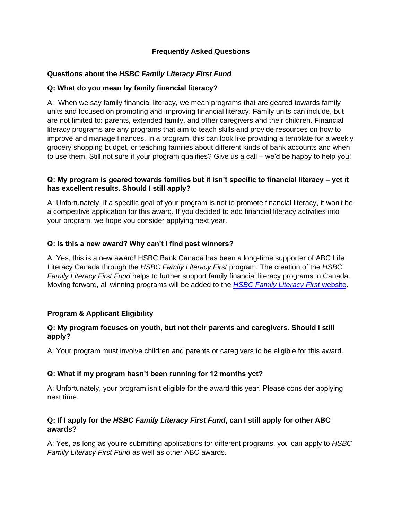# **Frequently Asked Questions**

## **Questions about the** *HSBC Family Literacy First Fund*

## **Q: What do you mean by family financial literacy?**

A: When we say family financial literacy, we mean programs that are geared towards family units and focused on promoting and improving financial literacy. Family units can include, but are not limited to: parents, extended family, and other caregivers and their children. Financial literacy programs are any programs that aim to teach skills and provide resources on how to improve and manage finances. In a program, this can look like providing a template for a weekly grocery shopping budget, or teaching families about different kinds of bank accounts and when to use them. Still not sure if your program qualifies? Give us a call – we'd be happy to help you!

## **Q: My program is geared towards families but it isn't specific to financial literacy – yet it has excellent results. Should I still apply?**

A: Unfortunately, if a specific goal of your program is not to promote financial literacy, it won't be a competitive application for this award. If you decided to add financial literacy activities into your program, we hope you consider applying next year.

## **Q: Is this a new award? Why can't I find past winners?**

A: Yes, this is a new award! HSBC Bank Canada has been a long-time supporter of ABC Life Literacy Canada through the *HSBC Family Literacy First* program. The creation of the *HSBC Family Literacy First Fund* helps to further support family financial literacy programs in Canada. Moving forward, all winning programs will be added to the *[HSBC Family Literacy First](https://familyliteracyfirst.ca/)* website.

#### **Program & Applicant Eligibility**

#### **Q: My program focuses on youth, but not their parents and caregivers. Should I still apply?**

A: Your program must involve children and parents or caregivers to be eligible for this award.

#### **Q: What if my program hasn't been running for 12 months yet?**

A: Unfortunately, your program isn't eligible for the award this year. Please consider applying next time.

## **Q: If I apply for the** *HSBC Family Literacy First Fund***, can I still apply for other ABC awards?**

A: Yes, as long as you're submitting applications for different programs, you can apply to *HSBC Family Literacy First Fund* as well as other ABC awards.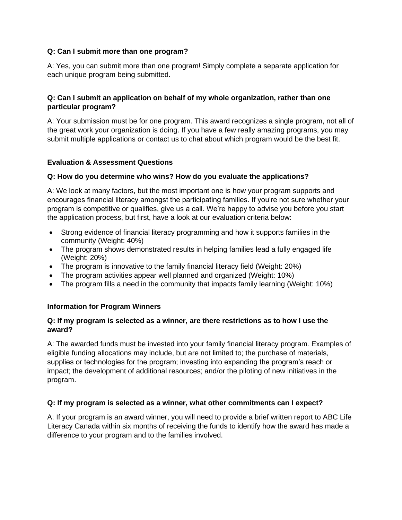## **Q: Can I submit more than one program?**

A: Yes, you can submit more than one program! Simply complete a separate application for each unique program being submitted.

## **Q: Can I submit an application on behalf of my whole organization, rather than one particular program?**

A: Your submission must be for one program. This award recognizes a single program, not all of the great work your organization is doing. If you have a few really amazing programs, you may submit multiple applications or contact us to chat about which program would be the best fit.

## **Evaluation & Assessment Questions**

#### **Q: How do you determine who wins? How do you evaluate the applications?**

A: We look at many factors, but the most important one is how your program supports and encourages financial literacy amongst the participating families. If you're not sure whether your program is competitive or qualifies, give us a call. We're happy to advise you before you start the application process, but first, have a look at our evaluation criteria below:

- Strong evidence of financial literacy programming and how it supports families in the community (Weight: 40%)
- The program shows demonstrated results in helping families lead a fully engaged life (Weight: 20%)
- The program is innovative to the family financial literacy field (Weight: 20%)
- The program activities appear well planned and organized (Weight: 10%)
- The program fills a need in the community that impacts family learning (Weight: 10%)

#### **Information for Program Winners**

#### **Q: If my program is selected as a winner, are there restrictions as to how I use the award?**

A: The awarded funds must be invested into your family financial literacy program. Examples of eligible funding allocations may include, but are not limited to; the purchase of materials, supplies or technologies for the program; investing into expanding the program's reach or impact; the development of additional resources; and/or the piloting of new initiatives in the program.

#### **Q: If my program is selected as a winner, what other commitments can I expect?**

A: If your program is an award winner, you will need to provide a brief written report to ABC Life Literacy Canada within six months of receiving the funds to identify how the award has made a difference to your program and to the families involved.